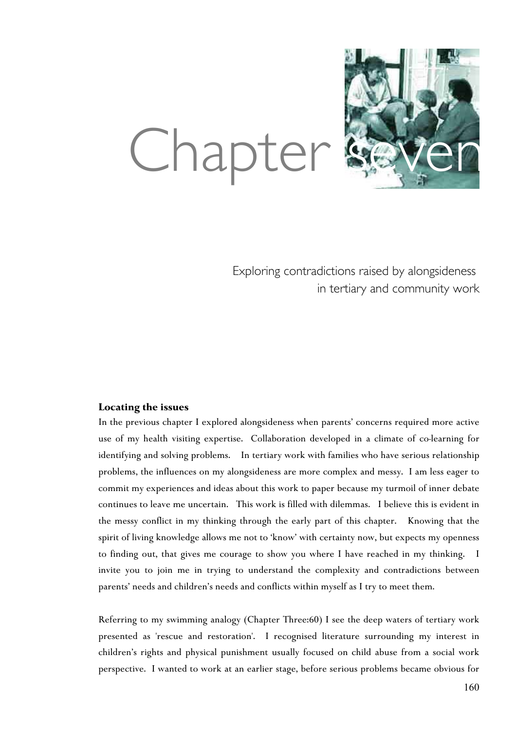

# Chapter

Exploring contradictions raised by alongsideness in tertiary and community work

# **Locating the issues**

In the previous chapter I explored alongsideness when parents' concerns required more active use of my health visiting expertise. Collaboration developed in a climate of co-learning for identifying and solving problems. In tertiary work with families who have serious relationship problems, the influences on my alongsideness are more complex and messy. I am less eager to commit my experiences and ideas about this work to paper because my turmoil of inner debate continues to leave me uncertain. This work is filled with dilemmas. I believe this is evident in the messy conflict in my thinking through the early part of this chapter. Knowing that the spirit of living knowledge allows me not to 'know' with certainty now, but expects my openness to finding out, that gives me courage to show you where I have reached in my thinking. I invite you to join me in trying to understand the complexity and contradictions between parents' needs and children's needs and conflicts within myself as I try to meet them.

Referring to my swimming analogy (Chapter Three:60) I see the deep waters of tertiary work presented as 'rescue and restoration'. I recognised literature surrounding my interest in children's rights and physical punishment usually focused on child abuse from a social work perspective. I wanted to work at an earlier stage, before serious problems became obvious for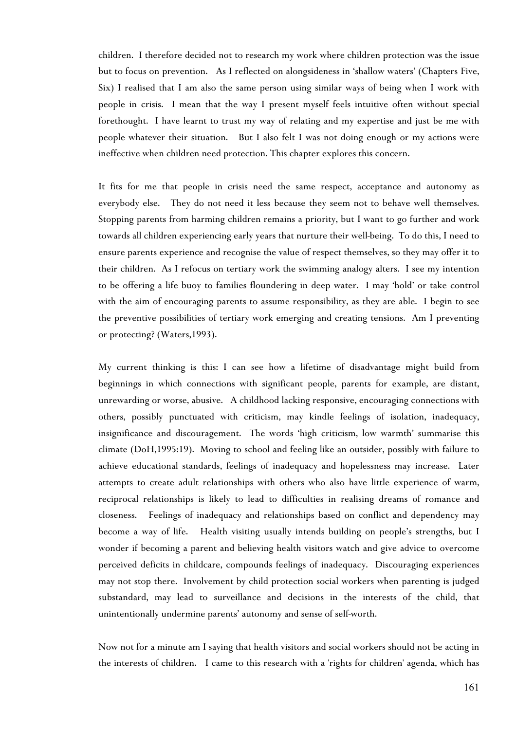children. I therefore decided not to research my work where children protection was the issue but to focus on prevention. As I reflected on alongsideness in 'shallow waters' (Chapters Five, Six) I realised that I am also the same person using similar ways of being when I work with people in crisis. I mean that the way I present myself feels intuitive often without special forethought. I have learnt to trust my way of relating and my expertise and just be me with people whatever their situation. But I also felt I was not doing enough or my actions were ineffective when children need protection. This chapter explores this concern.

It fits for me that people in crisis need the same respect, acceptance and autonomy as everybody else. They do not need it less because they seem not to behave well themselves. Stopping parents from harming children remains a priority, but I want to go further and work towards all children experiencing early years that nurture their well-being. To do this, I need to ensure parents experience and recognise the value of respect themselves, so they may offer it to their children. As I refocus on tertiary work the swimming analogy alters. I see my intention to be offering a life buoy to families floundering in deep water. I may 'hold' or take control with the aim of encouraging parents to assume responsibility, as they are able. I begin to see the preventive possibilities of tertiary work emerging and creating tensions. Am I preventing or protecting? (Waters,1993).

My current thinking is this: I can see how a lifetime of disadvantage might build from beginnings in which connections with significant people, parents for example, are distant, unrewarding or worse, abusive. A childhood lacking responsive, encouraging connections with others, possibly punctuated with criticism, may kindle feelings of isolation, inadequacy, insignificance and discouragement. The words 'high criticism, low warmth' summarise this climate (DoH,1995:19). Moving to school and feeling like an outsider, possibly with failure to achieve educational standards, feelings of inadequacy and hopelessness may increase. Later attempts to create adult relationships with others who also have little experience of warm, reciprocal relationships is likely to lead to difficulties in realising dreams of romance and closeness. Feelings of inadequacy and relationships based on conflict and dependency may become a way of life. Health visiting usually intends building on people's strengths, but I wonder if becoming a parent and believing health visitors watch and give advice to overcome perceived deficits in childcare, compounds feelings of inadequacy. Discouraging experiences may not stop there. Involvement by child protection social workers when parenting is judged substandard, may lead to surveillance and decisions in the interests of the child, that unintentionally undermine parents' autonomy and sense of self-worth.

Now not for a minute am I saying that health visitors and social workers should not be acting in the interests of children. I came to this research with a 'rights for children' agenda, which has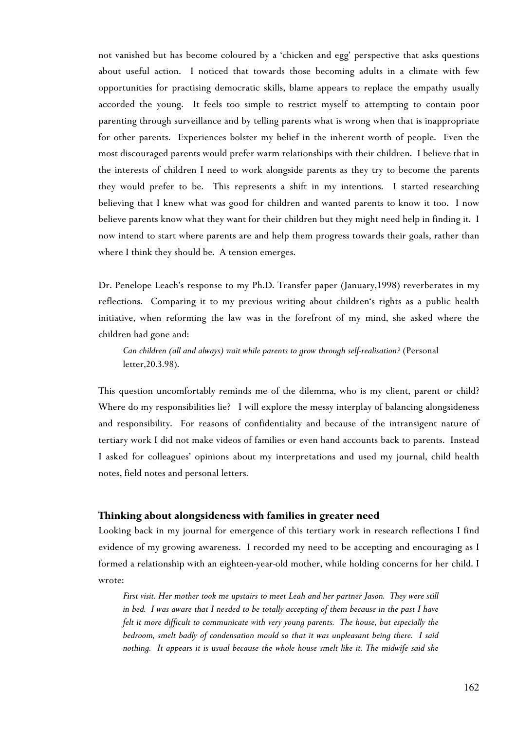not vanished but has become coloured by a 'chicken and egg' perspective that asks questions about useful action. I noticed that towards those becoming adults in a climate with few opportunities for practising democratic skills, blame appears to replace the empathy usually accorded the young. It feels too simple to restrict myself to attempting to contain poor parenting through surveillance and by telling parents what is wrong when that is inappropriate for other parents. Experiences bolster my belief in the inherent worth of people. Even the most discouraged parents would prefer warm relationships with their children. I believe that in the interests of children I need to work alongside parents as they try to become the parents they would prefer to be. This represents a shift in my intentions. I started researching believing that I knew what was good for children and wanted parents to know it too. I now believe parents know what they want for their children but they might need help in finding it. I now intend to start where parents are and help them progress towards their goals, rather than where I think they should be. A tension emerges.

Dr. Penelope Leach's response to my Ph.D. Transfer paper (January,1998) reverberates in my reflections. Comparing it to my previous writing about children's rights as a public health initiative, when reforming the law was in the forefront of my mind, she asked where the children had gone and:

*Can children (all and always) wait while parents to grow through self-realisation?* (Personal letter,20.3.98).

This question uncomfortably reminds me of the dilemma, who is my client, parent or child? Where do my responsibilities lie? I will explore the messy interplay of balancing alongsideness and responsibility. For reasons of confidentiality and because of the intransigent nature of tertiary work I did not make videos of families or even hand accounts back to parents. Instead I asked for colleagues' opinions about my interpretations and used my journal, child health notes, field notes and personal letters.

# **Thinking about alongsideness with families in greater need**

Looking back in my journal for emergence of this tertiary work in research reflections I find evidence of my growing awareness. I recorded my need to be accepting and encouraging as I formed a relationship with an eighteen-year-old mother, while holding concerns for her child. I wrote:

*First visit. Her mother took me upstairs to meet Leah and her partner Jason. They were still in bed. I was aware that I needed to be totally accepting of them because in the past I have felt it more difficult to communicate with very young parents. The house, but especially the bedroom, smelt badly of condensation mould so that it was unpleasant being there. I said nothing. It appears it is usual because the whole house smelt like it. The midwife said she*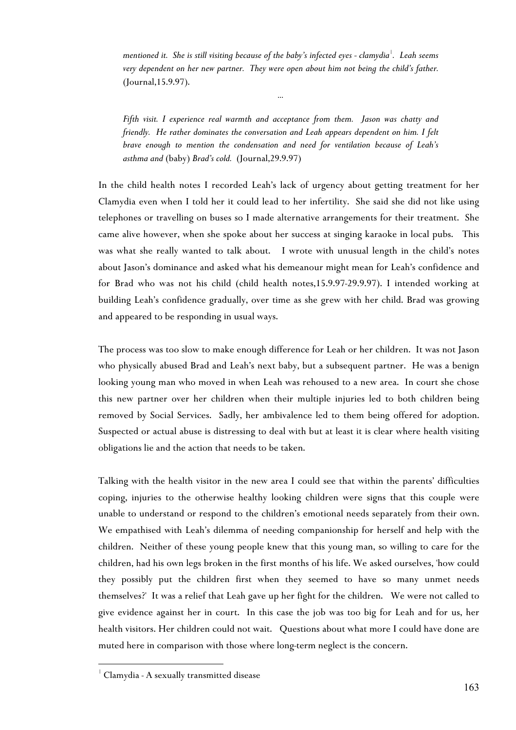*mentioned it. She is still visiting because of the baby's infected eyes - clamydia*[1](#page-3-0) *. Leah seems very dependent on her new partner. They were open about him not being the child's father.* (Journal,15.9.97).

*…*

*Fifth visit. I experience real warmth and acceptance from them. Jason was chatty and friendly. He rather dominates the conversation and Leah appears dependent on him. I felt brave enough to mention the condensation and need for ventilation because of Leah's asthma and* (baby) *Brad's cold.* (Journal,29.9.97)

In the child health notes I recorded Leah's lack of urgency about getting treatment for her Clamydia even when I told her it could lead to her infertility. She said she did not like using telephones or travelling on buses so I made alternative arrangements for their treatment. She came alive however, when she spoke about her success at singing karaoke in local pubs. This was what she really wanted to talk about. I wrote with unusual length in the child's notes about Jason's dominance and asked what his demeanour might mean for Leah's confidence and for Brad who was not his child (child health notes,15.9.97-29.9.97). I intended working at building Leah's confidence gradually, over time as she grew with her child. Brad was growing and appeared to be responding in usual ways.

The process was too slow to make enough difference for Leah or her children. It was not Jason who physically abused Brad and Leah's next baby, but a subsequent partner. He was a benign looking young man who moved in when Leah was rehoused to a new area. In court she chose this new partner over her children when their multiple injuries led to both children being removed by Social Services. Sadly, her ambivalence led to them being offered for adoption. Suspected or actual abuse is distressing to deal with but at least it is clear where health visiting obligations lie and the action that needs to be taken.

Talking with the health visitor in the new area I could see that within the parents' difficulties coping, injuries to the otherwise healthy looking children were signs that this couple were unable to understand or respond to the children's emotional needs separately from their own. We empathised with Leah's dilemma of needing companionship for herself and help with the children. Neither of these young people knew that this young man, so willing to care for the children, had his own legs broken in the first months of his life. We asked ourselves, 'how could they possibly put the children first when they seemed to have so many unmet needs themselves?' It was a relief that Leah gave up her fight for the children. We were not called to give evidence against her in court. In this case the job was too big for Leah and for us, her health visitors. Her children could not wait. Questions about what more I could have done are muted here in comparison with those where long-term neglect is the concern.

 $\overline{a}$ 

<span id="page-3-0"></span><sup>1</sup> Clamydia - A sexually transmitted disease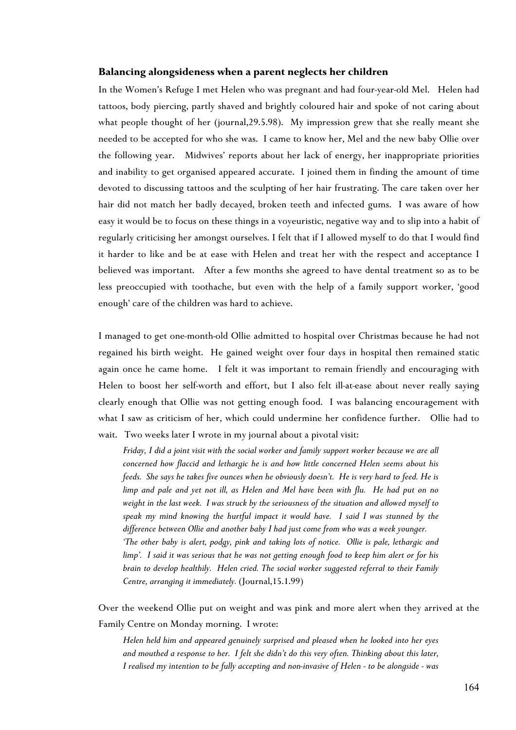#### **Balancing alongsideness when a parent neglects her children**

In the Women's Refuge I met Helen who was pregnant and had four-year-old Mel. Helen had tattoos, body piercing, partly shaved and brightly coloured hair and spoke of not caring about what people thought of her (journal,29.5.98). My impression grew that she really meant she needed to be accepted for who she was. I came to know her, Mel and the new baby Ollie over the following year. Midwives' reports about her lack of energy, her inappropriate priorities and inability to get organised appeared accurate. I joined them in finding the amount of time devoted to discussing tattoos and the sculpting of her hair frustrating. The care taken over her hair did not match her badly decayed, broken teeth and infected gums. I was aware of how easy it would be to focus on these things in a voyeuristic, negative way and to slip into a habit of regularly criticising her amongst ourselves. I felt that if I allowed myself to do that I would find it harder to like and be at ease with Helen and treat her with the respect and acceptance I believed was important. After a few months she agreed to have dental treatment so as to be less preoccupied with toothache, but even with the help of a family support worker, 'good enough' care of the children was hard to achieve.

I managed to get one-month-old Ollie admitted to hospital over Christmas because he had not regained his birth weight. He gained weight over four days in hospital then remained static again once he came home. I felt it was important to remain friendly and encouraging with Helen to boost her self-worth and effort, but I also felt ill-at-ease about never really saying clearly enough that Ollie was not getting enough food. I was balancing encouragement with what I saw as criticism of her, which could undermine her confidence further. Ollie had to wait. Two weeks later I wrote in my journal about a pivotal visit:

*Friday, I did a joint visit with the social worker and family support worker because we are all concerned how flaccid and lethargic he is and how little concerned Helen seems about his feeds. She says he takes five ounces when he obviously doesn't. He is very hard to feed. He is limp and pale and yet not ill, as Helen and Mel have been with flu. He had put on no weight in the last week. I was struck by the seriousness of the situation and allowed myself to speak my mind knowing the hurtful impact it would have. I said I was stunned by the difference between Ollie and another baby I had just come from who was a week younger. 'The other baby is alert, podgy, pink and taking lots of notice. Ollie is pale, lethargic and limp'. I said it was serious that he was not getting enough food to keep him alert or for his brain to develop healthily. Helen cried. The social worker suggested referral to their Family Centre, arranging it immediately.* (Journal,15.1.99)

Over the weekend Ollie put on weight and was pink and more alert when they arrived at the Family Centre on Monday morning. I wrote:

*Helen held him and appeared genuinely surprised and pleased when he looked into her eyes and mouthed a response to her. I felt she didn't do this very often. Thinking about this later, I realised my intention to be fully accepting and non-invasive of Helen - to be alongside - was*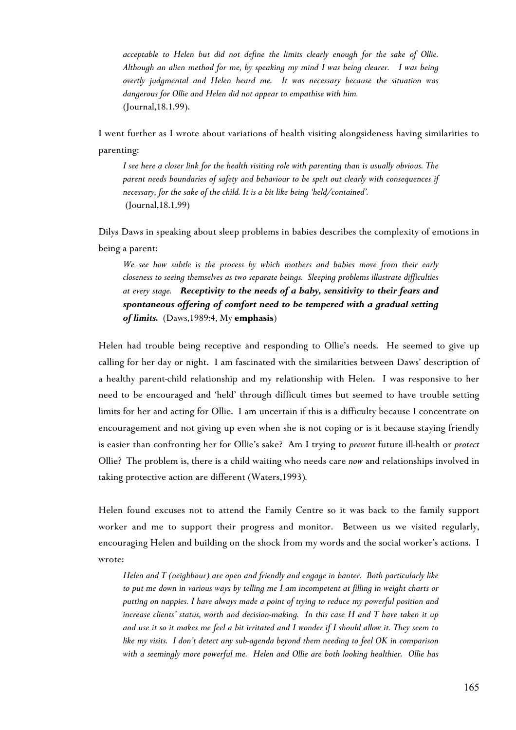*acceptable to Helen but did not define the limits clearly enough for the sake of Ollie. Although an alien method for me, by speaking my mind I was being clearer. I was being overtly judgmental and Helen heard me. It was necessary because the situation was dangerous for Ollie and Helen did not appear to empathise with him.* (Journal,18.1.99).

I went further as I wrote about variations of health visiting alongsideness having similarities to parenting:

*I see here a closer link for the health visiting role with parenting than is usually obvious. The parent needs boundaries of safety and behaviour to be spelt out clearly with consequences if necessary, for the sake of the child. It is a bit like being 'held/contained'.* (Journal,18.1.99)

Dilys Daws in speaking about sleep problems in babies describes the complexity of emotions in being a parent:

*We see how subtle is the process by which mothers and babies move from their early closeness to seeing themselves as two separate beings. Sleeping problems illustrate difficulties at every stage. Receptivity to the needs of a baby, sensitivity to their fears and spontaneous offering of comfort need to be tempered with a gradual setting of limits.* (Daws,1989:4, My **emphasis**)

Helen had trouble being receptive and responding to Ollie's needs. He seemed to give up calling for her day or night. I am fascinated with the similarities between Daws' description of a healthy parent-child relationship and my relationship with Helen. I was responsive to her need to be encouraged and 'held' through difficult times but seemed to have trouble setting limits for her and acting for Ollie. I am uncertain if this is a difficulty because I concentrate on encouragement and not giving up even when she is not coping or is it because staying friendly is easier than confronting her for Ollie's sake? Am I trying to *prevent* future ill-health or *protect* Ollie? The problem is, there is a child waiting who needs care *now* and relationships involved in taking protective action are different (Waters,1993)*.*

Helen found excuses not to attend the Family Centre so it was back to the family support worker and me to support their progress and monitor. Between us we visited regularly, encouraging Helen and building on the shock from my words and the social worker's actions. I wrote:

*Helen and T (neighbour) are open and friendly and engage in banter. Both particularly like to put me down in various ways by telling me I am incompetent at filling in weight charts or putting on nappies. I have always made a point of trying to reduce my powerful position and increase clients' status, worth and decision-making. In this case H and T have taken it up and use it so it makes me feel a bit irritated and I wonder if I should allow it. They seem to like my visits. I don't detect any sub-agenda beyond them needing to feel OK in comparison with a seemingly more powerful me. Helen and Ollie are both looking healthier. Ollie has*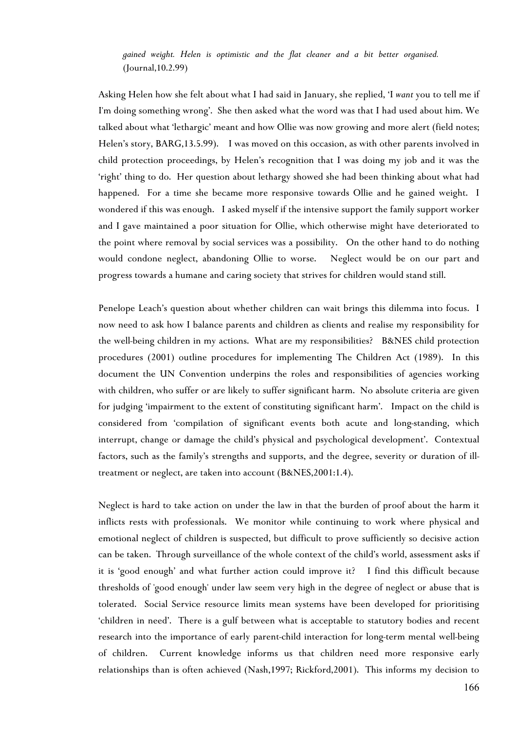*gained weight. Helen is optimistic and the flat cleaner and a bit better organised.* (Journal,10.2.99)

Asking Helen how she felt about what I had said in January, she replied, 'I *want* you to tell me if I'm doing something wrong'. She then asked what the word was that I had used about him. We talked about what 'lethargic' meant and how Ollie was now growing and more alert (field notes; Helen's story, BARG,13.5.99). I was moved on this occasion, as with other parents involved in child protection proceedings, by Helen's recognition that I was doing my job and it was the 'right' thing to do. Her question about lethargy showed she had been thinking about what had happened. For a time she became more responsive towards Ollie and he gained weight. I wondered if this was enough. I asked myself if the intensive support the family support worker and I gave maintained a poor situation for Ollie, which otherwise might have deteriorated to the point where removal by social services was a possibility. On the other hand to do nothing would condone neglect, abandoning Ollie to worse. Neglect would be on our part and progress towards a humane and caring society that strives for children would stand still.

Penelope Leach's question about whether children can wait brings this dilemma into focus. I now need to ask how I balance parents and children as clients and realise my responsibility for the well-being children in my actions. What are my responsibilities? B&NES child protection procedures (2001) outline procedures for implementing The Children Act (1989). In this document the UN Convention underpins the roles and responsibilities of agencies working with children, who suffer or are likely to suffer significant harm. No absolute criteria are given for judging 'impairment to the extent of constituting significant harm'. Impact on the child is considered from 'compilation of significant events both acute and long-standing, which interrupt, change or damage the child's physical and psychological development'. Contextual factors, such as the family's strengths and supports, and the degree, severity or duration of illtreatment or neglect, are taken into account (B&NES,2001:1.4).

Neglect is hard to take action on under the law in that the burden of proof about the harm it inflicts rests with professionals. We monitor while continuing to work where physical and emotional neglect of children is suspected, but difficult to prove sufficiently so decisive action can be taken. Through surveillance of the whole context of the child's world, assessment asks if it is 'good enough' and what further action could improve it? I find this difficult because thresholds of 'good enough' under law seem very high in the degree of neglect or abuse that is tolerated. Social Service resource limits mean systems have been developed for prioritising 'children in need'. There is a gulf between what is acceptable to statutory bodies and recent research into the importance of early parent-child interaction for long-term mental well-being of children. Current knowledge informs us that children need more responsive early relationships than is often achieved (Nash,1997; Rickford,2001). This informs my decision to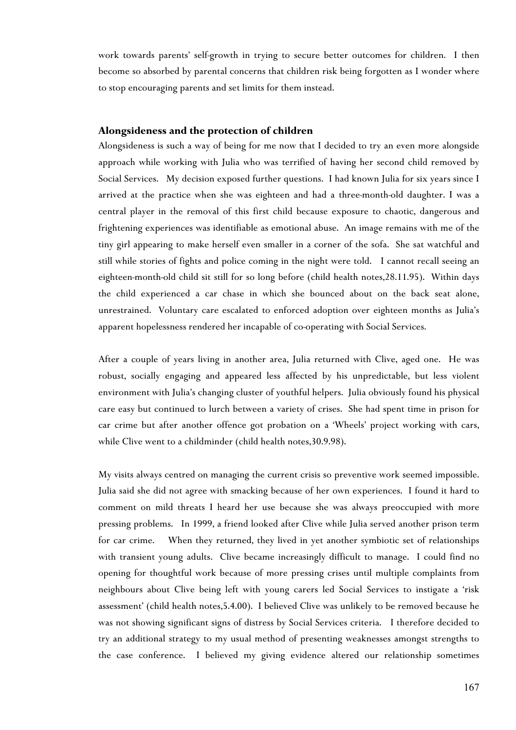work towards parents' self-growth in trying to secure better outcomes for children. I then become so absorbed by parental concerns that children risk being forgotten as I wonder where to stop encouraging parents and set limits for them instead.

#### **Alongsideness and the protection of children**

Alongsideness is such a way of being for me now that I decided to try an even more alongside approach while working with Julia who was terrified of having her second child removed by Social Services. My decision exposed further questions. I had known Julia for six years since I arrived at the practice when she was eighteen and had a three-month-old daughter. I was a central player in the removal of this first child because exposure to chaotic, dangerous and frightening experiences was identifiable as emotional abuse. An image remains with me of the tiny girl appearing to make herself even smaller in a corner of the sofa. She sat watchful and still while stories of fights and police coming in the night were told. I cannot recall seeing an eighteen-month-old child sit still for so long before (child health notes,28.11.95). Within days the child experienced a car chase in which she bounced about on the back seat alone, unrestrained. Voluntary care escalated to enforced adoption over eighteen months as Julia's apparent hopelessness rendered her incapable of co-operating with Social Services.

After a couple of years living in another area, Julia returned with Clive, aged one. He was robust, socially engaging and appeared less affected by his unpredictable, but less violent environment with Julia's changing cluster of youthful helpers. Julia obviously found his physical care easy but continued to lurch between a variety of crises. She had spent time in prison for car crime but after another offence got probation on a 'Wheels' project working with cars, while Clive went to a childminder (child health notes,30.9.98).

My visits always centred on managing the current crisis so preventive work seemed impossible. Julia said she did not agree with smacking because of her own experiences. I found it hard to comment on mild threats I heard her use because she was always preoccupied with more pressing problems. In 1999, a friend looked after Clive while Julia served another prison term for car crime. When they returned, they lived in yet another symbiotic set of relationships with transient young adults. Clive became increasingly difficult to manage. I could find no opening for thoughtful work because of more pressing crises until multiple complaints from neighbours about Clive being left with young carers led Social Services to instigate a 'risk assessment' (child health notes,5.4.00). I believed Clive was unlikely to be removed because he was not showing significant signs of distress by Social Services criteria. I therefore decided to try an additional strategy to my usual method of presenting weaknesses amongst strengths to the case conference. I believed my giving evidence altered our relationship sometimes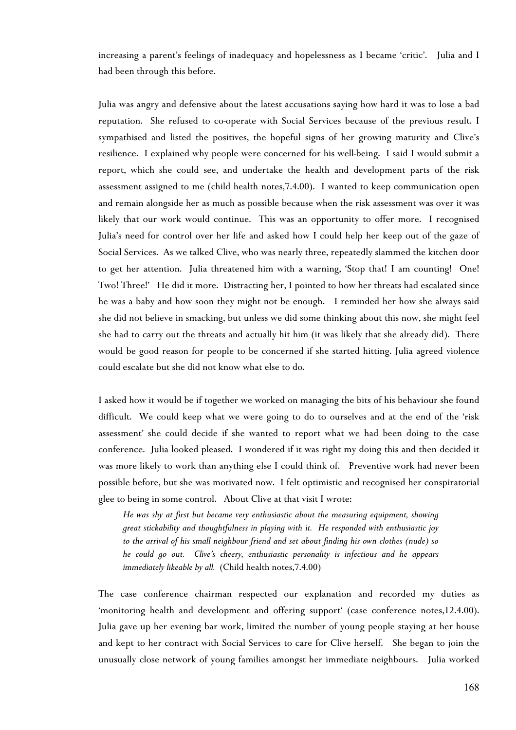increasing a parent's feelings of inadequacy and hopelessness as I became 'critic'. Julia and I had been through this before.

Julia was angry and defensive about the latest accusations saying how hard it was to lose a bad reputation. She refused to co-operate with Social Services because of the previous result. I sympathised and listed the positives, the hopeful signs of her growing maturity and Clive's resilience. I explained why people were concerned for his well-being. I said I would submit a report, which she could see, and undertake the health and development parts of the risk assessment assigned to me (child health notes,7.4.00). I wanted to keep communication open and remain alongside her as much as possible because when the risk assessment was over it was likely that our work would continue. This was an opportunity to offer more. I recognised Julia's need for control over her life and asked how I could help her keep out of the gaze of Social Services. As we talked Clive, who was nearly three, repeatedly slammed the kitchen door to get her attention. Julia threatened him with a warning, 'Stop that! I am counting! One! Two! Three!' He did it more. Distracting her, I pointed to how her threats had escalated since he was a baby and how soon they might not be enough. I reminded her how she always said she did not believe in smacking, but unless we did some thinking about this now, she might feel she had to carry out the threats and actually hit him (it was likely that she already did). There would be good reason for people to be concerned if she started hitting. Julia agreed violence could escalate but she did not know what else to do.

I asked how it would be if together we worked on managing the bits of his behaviour she found difficult. We could keep what we were going to do to ourselves and at the end of the 'risk assessment' she could decide if she wanted to report what we had been doing to the case conference. Julia looked pleased. I wondered if it was right my doing this and then decided it was more likely to work than anything else I could think of. Preventive work had never been possible before, but she was motivated now. I felt optimistic and recognised her conspiratorial glee to being in some control. About Clive at that visit I wrote:

*He was shy at first but became very enthusiastic about the measuring equipment, showing great stickability and thoughtfulness in playing with it. He responded with enthusiastic joy to the arrival of his small neighbour friend and set about finding his own clothes (nude) so he could go out. Clive's cheery, enthusiastic personality is infectious and he appears immediately likeable by all.* (Child health notes,7.4.00)

The case conference chairman respected our explanation and recorded my duties as 'monitoring health and development and offering support' (case conference notes,12.4.00). Julia gave up her evening bar work, limited the number of young people staying at her house and kept to her contract with Social Services to care for Clive herself. She began to join the unusually close network of young families amongst her immediate neighbours. Julia worked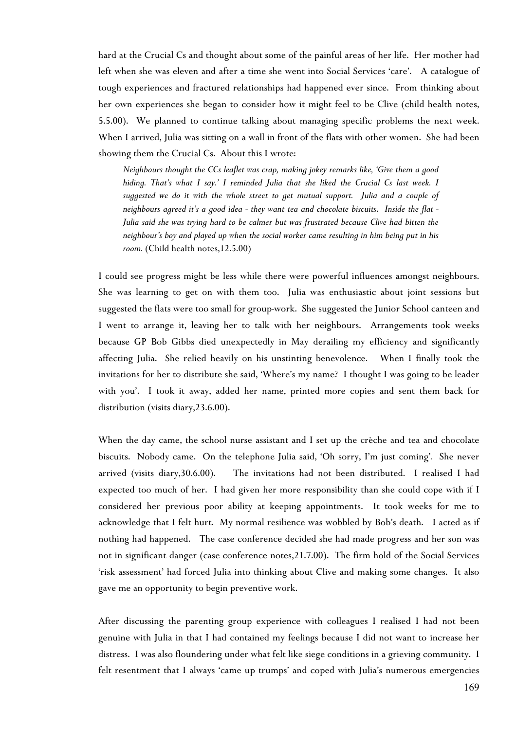hard at the Crucial Cs and thought about some of the painful areas of her life. Her mother had left when she was eleven and after a time she went into Social Services 'care'. A catalogue of tough experiences and fractured relationships had happened ever since. From thinking about her own experiences she began to consider how it might feel to be Clive (child health notes, 5.5.00). We planned to continue talking about managing specific problems the next week. When I arrived, Julia was sitting on a wall in front of the flats with other women. She had been showing them the Crucial Cs. About this I wrote:

*Neighbours thought the CCs leaflet was crap, making jokey remarks like, 'Give them a good hiding. That's what I say.' I reminded Julia that she liked the Crucial Cs last week. I suggested we do it with the whole street to get mutual support. Julia and a couple of neighbours agreed it's a good idea - they want tea and chocolate biscuits*. *Inside the flat - Julia said she was trying hard to be calmer but was frustrated because Clive had bitten the neighbour's boy and played up when the social worker came resulting in him being put in his room.* (Child health notes,12.5.00)

I could see progress might be less while there were powerful influences amongst neighbours. She was learning to get on with them too. Julia was enthusiastic about joint sessions but suggested the flats were too small for group-work. She suggested the Junior School canteen and I went to arrange it, leaving her to talk with her neighbours. Arrangements took weeks because GP Bob Gibbs died unexpectedly in May derailing my efficiency and significantly affecting Julia. She relied heavily on his unstinting benevolence. When I finally took the invitations for her to distribute she said, 'Where's my name? I thought I was going to be leader with you'. I took it away, added her name, printed more copies and sent them back for distribution (visits diary,23.6.00).

When the day came, the school nurse assistant and I set up the crèche and tea and chocolate biscuits. Nobody came. On the telephone Julia said, 'Oh sorry, I'm just coming'*.* She never arrived (visits diary,30.6.00). The invitations had not been distributed. I realised I had expected too much of her. I had given her more responsibility than she could cope with if I considered her previous poor ability at keeping appointments. It took weeks for me to acknowledge that I felt hurt. My normal resilience was wobbled by Bob's death. I acted as if nothing had happened. The case conference decided she had made progress and her son was not in significant danger (case conference notes,21.7.00). The firm hold of the Social Services 'risk assessment' had forced Julia into thinking about Clive and making some changes. It also gave me an opportunity to begin preventive work.

After discussing the parenting group experience with colleagues I realised I had not been genuine with Julia in that I had contained my feelings because I did not want to increase her distress. I was also floundering under what felt like siege conditions in a grieving community. I felt resentment that I always 'came up trumps' and coped with Julia's numerous emergencies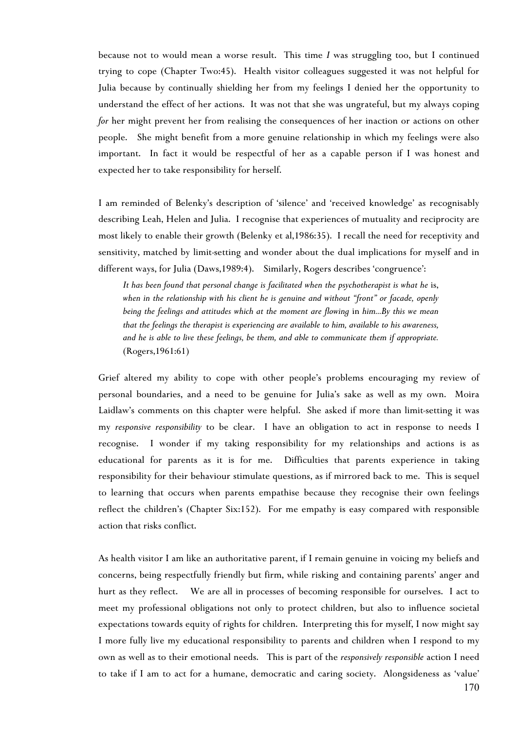because not to would mean a worse result. This time *I* was struggling too, but I continued trying to cope (Chapter Two:45). Health visitor colleagues suggested it was not helpful for Julia because by continually shielding her from my feelings I denied her the opportunity to understand the effect of her actions. It was not that she was ungrateful, but my always coping *for* her might prevent her from realising the consequences of her inaction or actions on other people. She might benefit from a more genuine relationship in which my feelings were also important. In fact it would be respectful of her as a capable person if I was honest and expected her to take responsibility for herself.

I am reminded of Belenky's description of 'silence' and 'received knowledge' as recognisably describing Leah, Helen and Julia. I recognise that experiences of mutuality and reciprocity are most likely to enable their growth (Belenky et al,1986:35). I recall the need for receptivity and sensitivity, matched by limit-setting and wonder about the dual implications for myself and in different ways, for Julia (Daws,1989:4). Similarly, Rogers describes 'congruence':

It has been found that personal change is facilitated when the psychotherapist is what he is, *when in the relationship with his client he is genuine and without "front" or facade, openly being the feelings and attitudes which at the moment are flowing* in *him...By this we mean that the feelings the therapist is experiencing are available to him, available to his awareness, and he is able to live these feelings, be them, and able to communicate them if appropriate.* (Rogers,1961:61)

Grief altered my ability to cope with other people's problems encouraging my review of personal boundaries, and a need to be genuine for Julia's sake as well as my own. Moira Laidlaw's comments on this chapter were helpful. She asked if more than limit-setting it was my *responsive responsibility* to be clear. I have an obligation to act in response to needs I recognise. I wonder if my taking responsibility for my relationships and actions is as educational for parents as it is for me. Difficulties that parents experience in taking responsibility for their behaviour stimulate questions, as if mirrored back to me. This is sequel to learning that occurs when parents empathise because they recognise their own feelings reflect the children's (Chapter Six:152). For me empathy is easy compared with responsible action that risks conflict.

As health visitor I am like an authoritative parent, if I remain genuine in voicing my beliefs and concerns, being respectfully friendly but firm, while risking and containing parents' anger and hurt as they reflect. We are all in processes of becoming responsible for ourselves. I act to meet my professional obligations not only to protect children, but also to influence societal expectations towards equity of rights for children. Interpreting this for myself, I now might say I more fully live my educational responsibility to parents and children when I respond to my own as well as to their emotional needs. This is part of the *responsively responsible* action I need to take if I am to act for a humane, democratic and caring society. Alongsideness as 'value'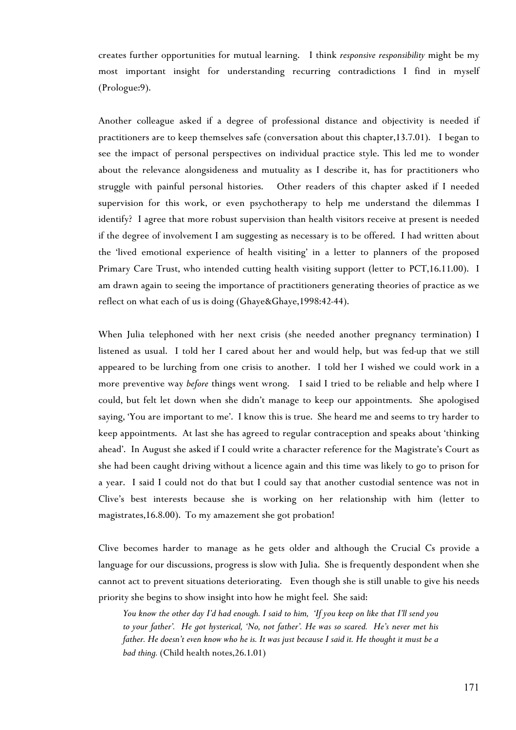creates further opportunities for mutual learning. I think *responsive responsibility* might be my most important insight for understanding recurring contradictions I find in myself (Prologue:9).

Another colleague asked if a degree of professional distance and objectivity is needed if practitioners are to keep themselves safe (conversation about this chapter,13.7.01). I began to see the impact of personal perspectives on individual practice style. This led me to wonder about the relevance alongsideness and mutuality as I describe it, has for practitioners who struggle with painful personal histories. Other readers of this chapter asked if I needed supervision for this work, or even psychotherapy to help me understand the dilemmas I identify? I agree that more robust supervision than health visitors receive at present is needed if the degree of involvement I am suggesting as necessary is to be offered. I had written about the 'lived emotional experience of health visiting' in a letter to planners of the proposed Primary Care Trust, who intended cutting health visiting support (letter to PCT,16.11.00). I am drawn again to seeing the importance of practitioners generating theories of practice as we reflect on what each of us is doing (Ghaye&Ghaye,1998:42-44).

When Julia telephoned with her next crisis (she needed another pregnancy termination) I listened as usual. I told her I cared about her and would help, but was fed-up that we still appeared to be lurching from one crisis to another. I told her I wished we could work in a more preventive way *before* things went wrong. I said I tried to be reliable and help where I could, but felt let down when she didn't manage to keep our appointments. She apologised saying, 'You are important to me'. I know this is true. She heard me and seems to try harder to keep appointments. At last she has agreed to regular contraception and speaks about 'thinking ahead'. In August she asked if I could write a character reference for the Magistrate's Court as she had been caught driving without a licence again and this time was likely to go to prison for a year. I said I could not do that but I could say that another custodial sentence was not in Clive's best interests because she is working on her relationship with him (letter to magistrates,16.8.00). To my amazement she got probation!

Clive becomes harder to manage as he gets older and although the Crucial Cs provide a language for our discussions, progress is slow with Julia. She is frequently despondent when she cannot act to prevent situations deteriorating. Even though she is still unable to give his needs priority she begins to show insight into how he might feel. She said:

*You know the other day I'd had enough. I said to him, 'If you keep on like that I'll send you to your father'. He got hysterical, 'No, not father'. He was so scared. He's never met his father. He doesn't even know who he is. It was just because I said it. He thought it must be a bad thing.* (Child health notes,26.1.01)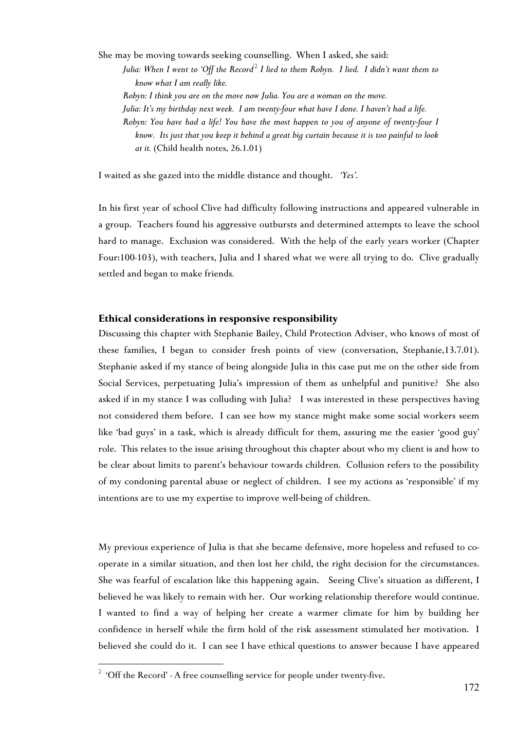She may be moving towards seeking counselling. When I asked, she said: *Julia: When I went to 'Off the Record*['2](#page-12-0) *I lied to them Robyn. I lied. I didn't want them to know what I am really like. Robyn: I think you are on the move now Julia. You are a woman on the move. Julia: It's my birthday next week. I am twenty-four what have I done. I haven't had a life. Robyn: You have had a life! You have the most happen to you of anyone of twenty-four I know. Its just that you keep it behind a great big curtain because it is too painful to look at it.* (Child health notes, 26.1.01)

I waited as she gazed into the middle distance and thought. *'Yes'*.

In his first year of school Clive had difficulty following instructions and appeared vulnerable in a group. Teachers found his aggressive outbursts and determined attempts to leave the school hard to manage. Exclusion was considered. With the help of the early years worker (Chapter Four:100-103), with teachers, Julia and I shared what we were all trying to do. Clive gradually settled and began to make friends.

#### **Ethical considerations in responsive responsibility**

Discussing this chapter with Stephanie Bailey, Child Protection Adviser, who knows of most of these families, I began to consider fresh points of view (conversation, Stephanie,13.7.01). Stephanie asked if my stance of being alongside Julia in this case put me on the other side from Social Services, perpetuating Julia's impression of them as unhelpful and punitive? She also asked if in my stance I was colluding with Julia? I was interested in these perspectives having not considered them before. I can see how my stance might make some social workers seem like 'bad guys' in a task, which is already difficult for them, assuring me the easier 'good guy' role. This relates to the issue arising throughout this chapter about who my client is and how to be clear about limits to parent's behaviour towards children. Collusion refers to the possibility of my condoning parental abuse or neglect of children. I see my actions as 'responsible' if my intentions are to use my expertise to improve well-being of children.

My previous experience of Julia is that she became defensive, more hopeless and refused to cooperate in a similar situation, and then lost her child, the right decision for the circumstances. She was fearful of escalation like this happening again. Seeing Clive's situation as different, I believed he was likely to remain with her. Our working relationship therefore would continue. I wanted to find a way of helping her create a warmer climate for him by building her confidence in herself while the firm hold of the risk assessment stimulated her motivation. I believed she could do it. I can see I have ethical questions to answer because I have appeared

 $\overline{a}$ 

<span id="page-12-0"></span> $2$  'Off the Record' - A free counselling service for people under twenty-five.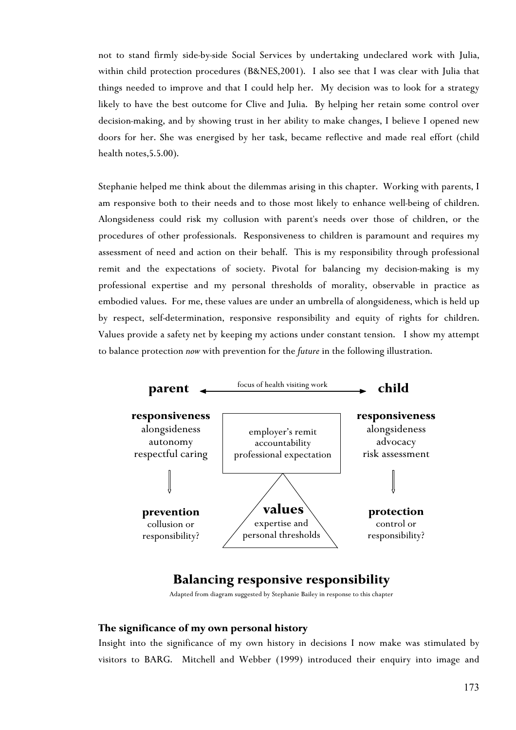not to stand firmly side-by-side Social Services by undertaking undeclared work with Julia, within child protection procedures (B&NES,2001). I also see that I was clear with Julia that things needed to improve and that I could help her. My decision was to look for a strategy likely to have the best outcome for Clive and Julia. By helping her retain some control over decision-making, and by showing trust in her ability to make changes, I believe I opened new doors for her. She was energised by her task, became reflective and made real effort (child health notes,5.5.00).

Stephanie helped me think about the dilemmas arising in this chapter. Working with parents, I am responsive both to their needs and to those most likely to enhance well-being of children. Alongsideness could risk my collusion with parent's needs over those of children, or the procedures of other professionals. Responsiveness to children is paramount and requires my assessment of need and action on their behalf. This is my responsibility through professional remit and the expectations of society. Pivotal for balancing my decision-making is my professional expertise and my personal thresholds of morality, observable in practice as embodied values. For me, these values are under an umbrella of alongsideness, which is held up by respect, self-determination, responsive responsibility and equity of rights for children. Values provide a safety net by keeping my actions under constant tension. I show my attempt to balance protection *now* with prevention for the *future* in the following illustration.



# **Balancing responsive responsibility**

Adapted from diagram suggested by Stephanie Bailey in response to this chapter

# **The significance of my own personal history**

Insight into the significance of my own history in decisions I now make was stimulated by visitors to BARG. Mitchell and Webber (1999) introduced their enquiry into image and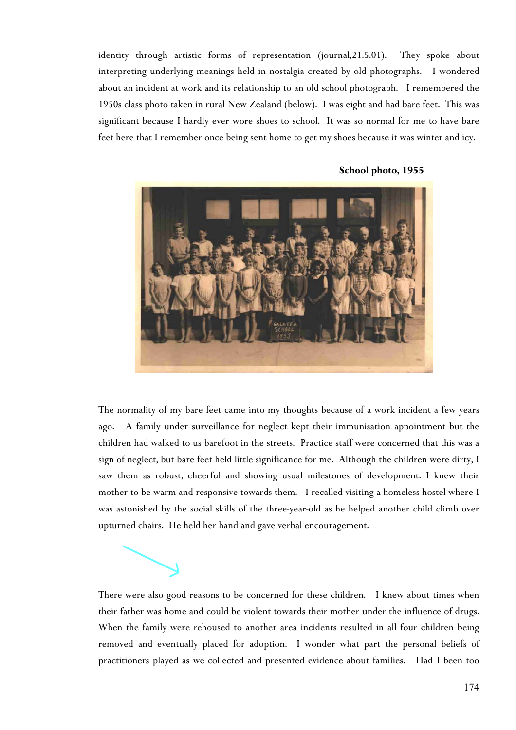identity through artistic forms of representation (journal,21.5.01). They spoke about interpreting underlying meanings held in nostalgia created by old photographs. I wondered about an incident at work and its relationship to an old school photograph. I remembered the 1950s class photo taken in rural New Zealand (below). I was eight and had bare feet. This was significant because I hardly ever wore shoes to school. It was so normal for me to have bare feet here that I remember once being sent home to get my shoes because it was winter and icy.



#### **School photo, 1955**

The normality of my bare feet came into my thoughts because of a work incident a few years ago. A family under surveillance for neglect kept their immunisation appointment but the children had walked to us barefoot in the streets. Practice staff were concerned that this was a sign of neglect, but bare feet held little significance for me. Although the children were dirty, I saw them as robust, cheerful and showing usual milestones of development. I knew their mother to be warm and responsive towards them. I recalled visiting a homeless hostel where I was astonished by the social skills of the three-year-old as he helped another child climb over upturned chairs. He held her hand and gave verbal encouragement.

practitioners played as we collected and presented evidence about families. Had I been too

There were also good reasons to be concerned for these children. I knew about times when their father was home and could be violent towards their mother under the influence of drugs. When the family were rehoused to another area incidents resulted in all four children being removed and eventually placed for adoption. I wonder what part the personal beliefs of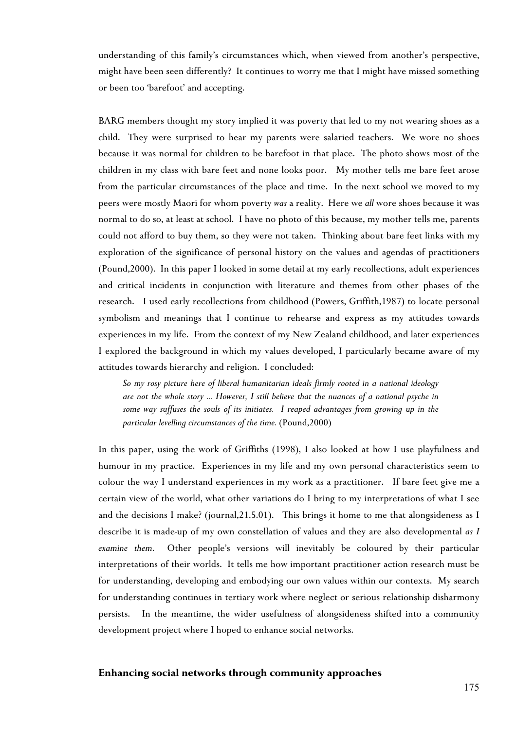understanding of this family's circumstances which, when viewed from another's perspective, might have been seen differently? It continues to worry me that I might have missed something or been too 'barefoot' and accepting.

BARG members thought my story implied it was poverty that led to my not wearing shoes as a child. They were surprised to hear my parents were salaried teachers. We wore no shoes because it was normal for children to be barefoot in that place. The photo shows most of the children in my class with bare feet and none looks poor. My mother tells me bare feet arose from the particular circumstances of the place and time. In the next school we moved to my peers were mostly Maori for whom poverty *was* a reality. Here we *all* wore shoes because it was normal to do so, at least at school. I have no photo of this because, my mother tells me, parents could not afford to buy them, so they were not taken. Thinking about bare feet links with my exploration of the significance of personal history on the values and agendas of practitioners (Pound,2000). In this paper I looked in some detail at my early recollections, adult experiences and critical incidents in conjunction with literature and themes from other phases of the research. I used early recollections from childhood (Powers, Griffith,1987) to locate personal symbolism and meanings that I continue to rehearse and express as my attitudes towards experiences in my life. From the context of my New Zealand childhood, and later experiences I explored the background in which my values developed, I particularly became aware of my attitudes towards hierarchy and religion. I concluded:

*So my rosy picture here of liberal humanitarian ideals firmly rooted in a national ideology are not the whole story ... However, I still believe that the nuances of a national psyche in some way suffuses the souls of its initiates. I reaped advantages from growing up in the particular levelling circumstances of the time.* (Pound,2000)

In this paper, using the work of Griffiths (1998), I also looked at how I use playfulness and humour in my practice. Experiences in my life and my own personal characteristics seem to colour the way I understand experiences in my work as a practitioner. If bare feet give me a certain view of the world, what other variations do I bring to my interpretations of what I see and the decisions I make? (journal,21.5.01). This brings it home to me that alongsideness as I describe it is made-up of my own constellation of values and they are also developmental *as I examine them*. Other people's versions will inevitably be coloured by their particular interpretations of their worlds. It tells me how important practitioner action research must be for understanding, developing and embodying our own values within our contexts. My search for understanding continues in tertiary work where neglect or serious relationship disharmony persists. In the meantime, the wider usefulness of alongsideness shifted into a community development project where I hoped to enhance social networks.

### **Enhancing social networks through community approaches**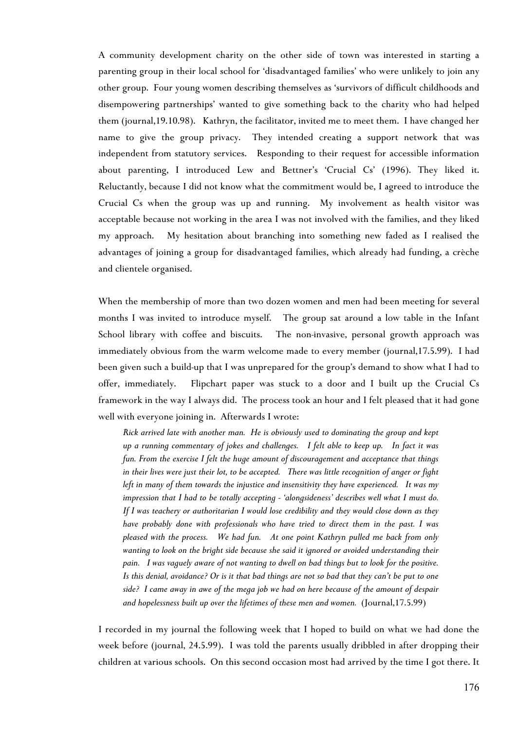A community development charity on the other side of town was interested in starting a parenting group in their local school for 'disadvantaged families' who were unlikely to join any other group. Four young women describing themselves as 'survivors of difficult childhoods and disempowering partnerships' wanted to give something back to the charity who had helped them (journal,19.10.98). Kathryn, the facilitator, invited me to meet them. I have changed her name to give the group privacy. They intended creating a support network that was independent from statutory services. Responding to their request for accessible information about parenting, I introduced Lew and Bettner's 'Crucial Cs' (1996). They liked it. Reluctantly, because I did not know what the commitment would be, I agreed to introduce the Crucial Cs when the group was up and running. My involvement as health visitor was acceptable because not working in the area I was not involved with the families, and they liked my approach. My hesitation about branching into something new faded as I realised the advantages of joining a group for disadvantaged families, which already had funding, a crèche and clientele organised.

When the membership of more than two dozen women and men had been meeting for several months I was invited to introduce myself. The group sat around a low table in the Infant School library with coffee and biscuits. The non-invasive, personal growth approach was immediately obvious from the warm welcome made to every member (journal,17.5.99). I had been given such a build-up that I was unprepared for the group's demand to show what I had to offer, immediately. Flipchart paper was stuck to a door and I built up the Crucial Cs framework in the way I always did. The process took an hour and I felt pleased that it had gone well with everyone joining in. Afterwards I wrote:

*Rick arrived late with another man. He is obviously used to dominating the group and kept up a running commentary of jokes and challenges. I felt able to keep up. In fact it was fun. From the exercise I felt the huge amount of discouragement and acceptance that things in their lives were just their lot, to be accepted. There was little recognition of anger or fight left in many of them towards the injustice and insensitivity they have experienced. It was my impression that I had to be totally accepting - 'alongsideness' describes well what I must do. If I was teachery or authoritarian I would lose credibility and they would close down as they have probably done with professionals who have tried to direct them in the past. I was pleased with the process. We had fun. At one point Kathryn pulled me back from only wanting to look on the bright side because she said it ignored or avoided understanding their pain. I was vaguely aware of not wanting to dwell on bad things but to look for the positive. Is this denial, avoidance? Or is it that bad things are not so bad that they can't be put to one side? I came away in awe of the mega job we had on here because of the amount of despair and hopelessness built up over the lifetimes of these men and women.* (Journal,17.5.99)

I recorded in my journal the following week that I hoped to build on what we had done the week before (journal, 24.5.99). I was told the parents usually dribbled in after dropping their children at various schools. On this second occasion most had arrived by the time I got there. It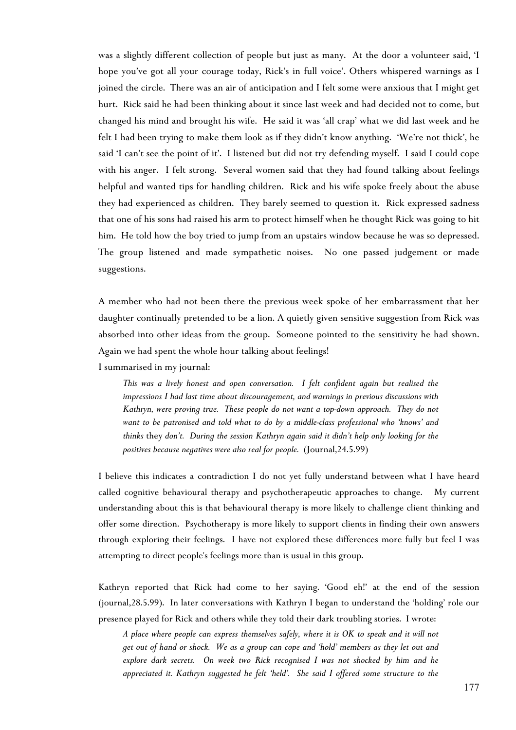was a slightly different collection of people but just as many. At the door a volunteer said, 'I hope you've got all your courage today, Rick's in full voice'. Others whispered warnings as I joined the circle. There was an air of anticipation and I felt some were anxious that I might get hurt. Rick said he had been thinking about it since last week and had decided not to come, but changed his mind and brought his wife. He said it was 'all crap' what we did last week and he felt I had been trying to make them look as if they didn't know anything. 'We're not thick', he said 'I can't see the point of it'. I listened but did not try defending myself. I said I could cope with his anger. I felt strong. Several women said that they had found talking about feelings helpful and wanted tips for handling children. Rick and his wife spoke freely about the abuse they had experienced as children. They barely seemed to question it. Rick expressed sadness that one of his sons had raised his arm to protect himself when he thought Rick was going to hit him. He told how the boy tried to jump from an upstairs window because he was so depressed. The group listened and made sympathetic noises. No one passed judgement or made suggestions.

A member who had not been there the previous week spoke of her embarrassment that her daughter continually pretended to be a lion. A quietly given sensitive suggestion from Rick was absorbed into other ideas from the group. Someone pointed to the sensitivity he had shown. Again we had spent the whole hour talking about feelings!

I summarised in my journal:

*This was a lively honest and open conversation. I felt confident again but realised the impressions I had last time about discouragement, and warnings in previous discussions with Kathryn, were proving true. These people do not want a top-down approach. They do not want to be patronised and told what to do by a middle-class professional who 'knows' and thinks* they *don't. During the session Kathryn again said it didn't help only looking for the positives because negatives were also real for people.* (Journal,24.5.99)

I believe this indicates a contradiction I do not yet fully understand between what I have heard called cognitive behavioural therapy and psychotherapeutic approaches to change. My current understanding about this is that behavioural therapy is more likely to challenge client thinking and offer some direction. Psychotherapy is more likely to support clients in finding their own answers through exploring their feelings. I have not explored these differences more fully but feel I was attempting to direct people's feelings more than is usual in this group.

Kathryn reported that Rick had come to her saying. 'Good eh!' at the end of the session (journal,28.5.99). In later conversations with Kathryn I began to understand the 'holding' role our presence played for Rick and others while they told their dark troubling stories. I wrote:

*A place where people can express themselves safely, where it is OK to speak and it will not get out of hand or shock. We as a group can cope and 'hold' members as they let out and explore dark secrets. On week two Rick recognised I was not shocked by him and he appreciated it. Kathryn suggested he felt 'held'. She said I offered some structure to the*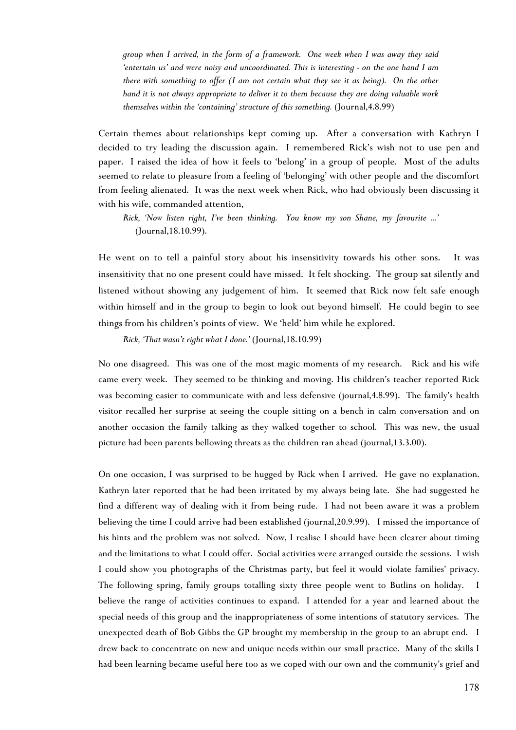*group when I arrived, in the form of a framework. One week when I was away they said 'entertain us' and were noisy and uncoordinated. This is interesting - on the one hand I am there with something to offer (I am not certain what they see it as being). On the other hand it is not always appropriate to deliver it to them because they are doing valuable work themselves within the 'containing' structure of this something.* (Journal,4.8.99)

Certain themes about relationships kept coming up. After a conversation with Kathryn I decided to try leading the discussion again. I remembered Rick's wish not to use pen and paper. I raised the idea of how it feels to 'belong' in a group of people. Most of the adults seemed to relate to pleasure from a feeling of 'belonging' with other people and the discomfort from feeling alienated. It was the next week when Rick, who had obviously been discussing it with his wife, commanded attention,

*Rick, 'Now listen right, I've been thinking. You know my son Shane, my favourite ...'* (Journal,18.10.99).

He went on to tell a painful story about his insensitivity towards his other sons. It was insensitivity that no one present could have missed. It felt shocking. The group sat silently and listened without showing any judgement of him. It seemed that Rick now felt safe enough within himself and in the group to begin to look out beyond himself. He could begin to see things from his children's points of view. We 'held' him while he explored.

*Rick, 'That wasn't right what I done.'* (Journal,18.10.99)

No one disagreed. This was one of the most magic moments of my research. Rick and his wife came every week. They seemed to be thinking and moving. His children's teacher reported Rick was becoming easier to communicate with and less defensive (journal,4.8.99). The family's health visitor recalled her surprise at seeing the couple sitting on a bench in calm conversation and on another occasion the family talking as they walked together to school. This was new, the usual picture had been parents bellowing threats as the children ran ahead (journal,13.3.00).

On one occasion, I was surprised to be hugged by Rick when I arrived. He gave no explanation. Kathryn later reported that he had been irritated by my always being late. She had suggested he find a different way of dealing with it from being rude. I had not been aware it was a problem believing the time I could arrive had been established (journal,20.9.99). I missed the importance of his hints and the problem was not solved. Now, I realise I should have been clearer about timing and the limitations to what I could offer. Social activities were arranged outside the sessions. I wish I could show you photographs of the Christmas party, but feel it would violate families' privacy. The following spring, family groups totalling sixty three people went to Butlins on holiday. I believe the range of activities continues to expand. I attended for a year and learned about the special needs of this group and the inappropriateness of some intentions of statutory services. The unexpected death of Bob Gibbs the GP brought my membership in the group to an abrupt end. I drew back to concentrate on new and unique needs within our small practice. Many of the skills I had been learning became useful here too as we coped with our own and the community's grief and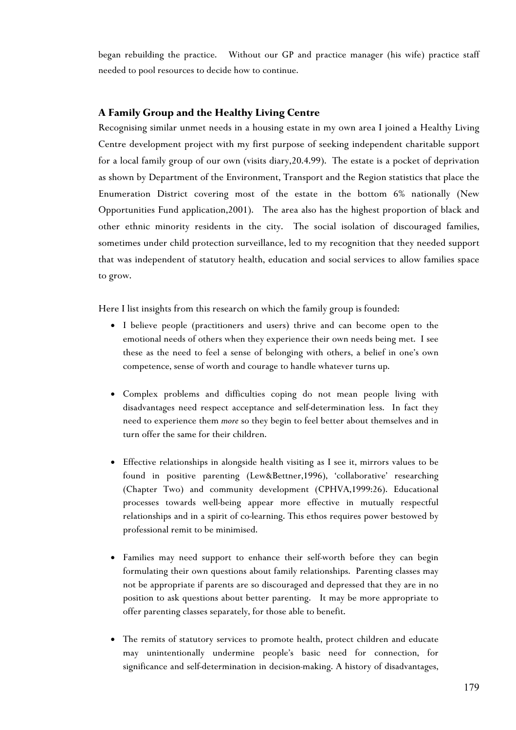began rebuilding the practice. Without our GP and practice manager (his wife) practice staff needed to pool resources to decide how to continue.

# **A Family Group and the Healthy Living Centre**

Recognising similar unmet needs in a housing estate in my own area I joined a Healthy Living Centre development project with my first purpose of seeking independent charitable support for a local family group of our own (visits diary,20.4.99). The estate is a pocket of deprivation as shown by Department of the Environment, Transport and the Region statistics that place the Enumeration District covering most of the estate in the bottom 6% nationally (New Opportunities Fund application,2001). The area also has the highest proportion of black and other ethnic minority residents in the city. The social isolation of discouraged families, sometimes under child protection surveillance, led to my recognition that they needed support that was independent of statutory health, education and social services to allow families space to grow.

Here I list insights from this research on which the family group is founded:

- I believe people (practitioners and users) thrive and can become open to the emotional needs of others when they experience their own needs being met. I see these as the need to feel a sense of belonging with others, a belief in one's own competence, sense of worth and courage to handle whatever turns up.
- Complex problems and difficulties coping do not mean people living with disadvantages need respect acceptance and self-determination less. In fact they need to experience them *more* so they begin to feel better about themselves and in turn offer the same for their children.
- Effective relationships in alongside health visiting as I see it, mirrors values to be found in positive parenting (Lew&Bettner,1996), 'collaborative' researching (Chapter Two) and community development (CPHVA,1999:26). Educational processes towards well-being appear more effective in mutually respectful relationships and in a spirit of co-learning. This ethos requires power bestowed by professional remit to be minimised.
- Families may need support to enhance their self-worth before they can begin formulating their own questions about family relationships. Parenting classes may not be appropriate if parents are so discouraged and depressed that they are in no position to ask questions about better parenting. It may be more appropriate to offer parenting classes separately, for those able to benefit.
- The remits of statutory services to promote health, protect children and educate may unintentionally undermine people's basic need for connection, for significance and self-determination in decision-making. A history of disadvantages,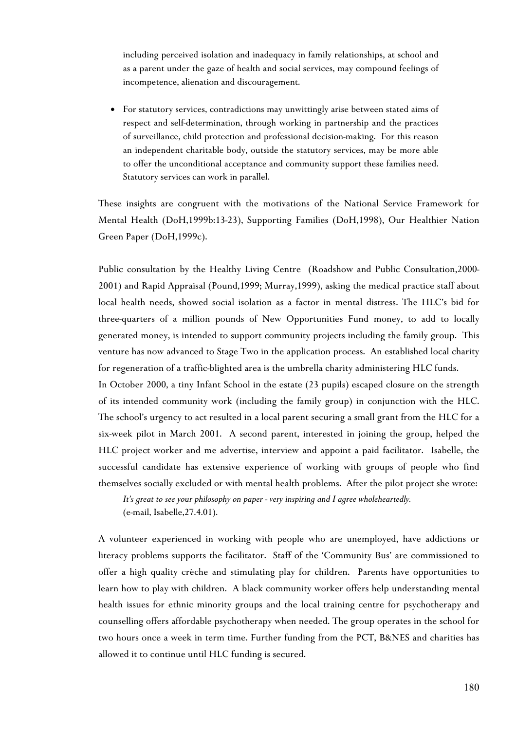including perceived isolation and inadequacy in family relationships, at school and as a parent under the gaze of health and social services, may compound feelings of incompetence, alienation and discouragement.

• For statutory services, contradictions may unwittingly arise between stated aims of respect and self-determination, through working in partnership and the practices of surveillance, child protection and professional decision-making. For this reason an independent charitable body, outside the statutory services, may be more able to offer the unconditional acceptance and community support these families need. Statutory services can work in parallel.

These insights are congruent with the motivations of the National Service Framework for Mental Health (DoH,1999b:13-23), Supporting Families (DoH,1998), Our Healthier Nation Green Paper (DoH,1999c).

Public consultation by the Healthy Living Centre (Roadshow and Public Consultation,2000- 2001) and Rapid Appraisal (Pound,1999; Murray,1999), asking the medical practice staff about local health needs, showed social isolation as a factor in mental distress. The HLC's bid for three-quarters of a million pounds of New Opportunities Fund money, to add to locally generated money, is intended to support community projects including the family group. This venture has now advanced to Stage Two in the application process. An established local charity for regeneration of a traffic-blighted area is the umbrella charity administering HLC funds.

In October 2000, a tiny Infant School in the estate (23 pupils) escaped closure on the strength of its intended community work (including the family group) in conjunction with the HLC. The school's urgency to act resulted in a local parent securing a small grant from the HLC for a six-week pilot in March 2001. A second parent, interested in joining the group, helped the HLC project worker and me advertise, interview and appoint a paid facilitator. Isabelle, the successful candidate has extensive experience of working with groups of people who find themselves socially excluded or with mental health problems. After the pilot project she wrote:

*It's great to see your philosophy on paper - very inspiring and I agree wholeheartedly.* (e-mail, Isabelle,27.4.01).

A volunteer experienced in working with people who are unemployed, have addictions or literacy problems supports the facilitator. Staff of the 'Community Bus' are commissioned to offer a high quality crèche and stimulating play for children. Parents have opportunities to learn how to play with children. A black community worker offers help understanding mental health issues for ethnic minority groups and the local training centre for psychotherapy and counselling offers affordable psychotherapy when needed. The group operates in the school for two hours once a week in term time. Further funding from the PCT, B&NES and charities has allowed it to continue until HLC funding is secured.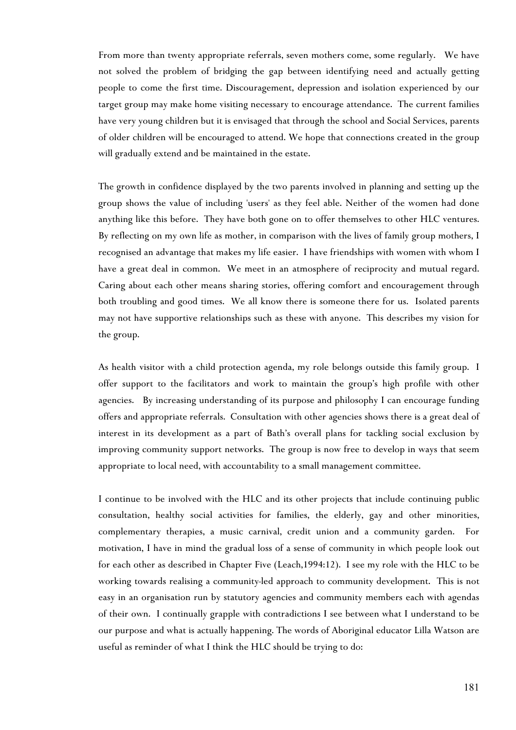From more than twenty appropriate referrals, seven mothers come, some regularly. We have not solved the problem of bridging the gap between identifying need and actually getting people to come the first time. Discouragement, depression and isolation experienced by our target group may make home visiting necessary to encourage attendance. The current families have very young children but it is envisaged that through the school and Social Services, parents of older children will be encouraged to attend. We hope that connections created in the group will gradually extend and be maintained in the estate.

The growth in confidence displayed by the two parents involved in planning and setting up the group shows the value of including 'users' as they feel able. Neither of the women had done anything like this before. They have both gone on to offer themselves to other HLC ventures. By reflecting on my own life as mother, in comparison with the lives of family group mothers, I recognised an advantage that makes my life easier. I have friendships with women with whom I have a great deal in common. We meet in an atmosphere of reciprocity and mutual regard. Caring about each other means sharing stories, offering comfort and encouragement through both troubling and good times. We all know there is someone there for us. Isolated parents may not have supportive relationships such as these with anyone. This describes my vision for the group.

As health visitor with a child protection agenda, my role belongs outside this family group. I offer support to the facilitators and work to maintain the group's high profile with other agencies. By increasing understanding of its purpose and philosophy I can encourage funding offers and appropriate referrals. Consultation with other agencies shows there is a great deal of interest in its development as a part of Bath's overall plans for tackling social exclusion by improving community support networks. The group is now free to develop in ways that seem appropriate to local need, with accountability to a small management committee.

I continue to be involved with the HLC and its other projects that include continuing public consultation, healthy social activities for families, the elderly, gay and other minorities, complementary therapies, a music carnival, credit union and a community garden. For motivation, I have in mind the gradual loss of a sense of community in which people look out for each other as described in Chapter Five (Leach,1994:12). I see my role with the HLC to be working towards realising a community-led approach to community development. This is not easy in an organisation run by statutory agencies and community members each with agendas of their own. I continually grapple with contradictions I see between what I understand to be our purpose and what is actually happening. The words of Aboriginal educator Lilla Watson are useful as reminder of what I think the HLC should be trying to do: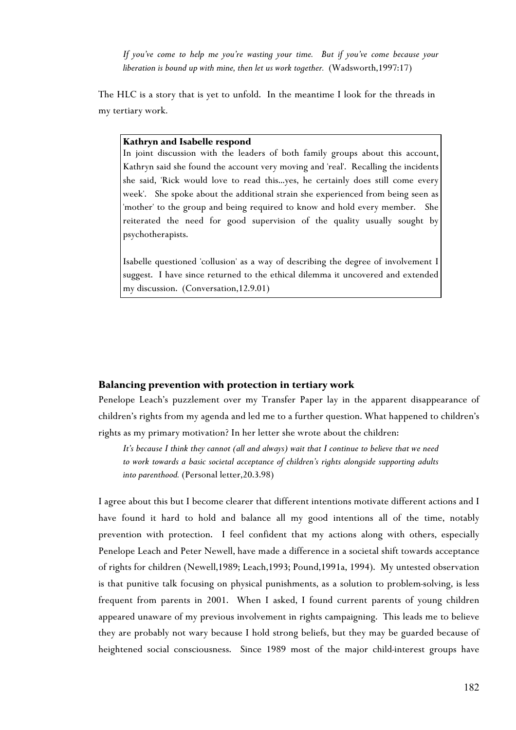*If you've come to help me you're wasting your time. But if you've come because your liberation is bound up with mine, then let us work together.* (Wadsworth,1997:17)

The HLC is a story that is yet to unfold. In the meantime I look for the threads in my tertiary work.

#### **Kathryn and Isabelle respond**

In joint discussion with the leaders of both family groups about this account, Kathryn said she found the account very moving and 'real'. Recalling the incidents she said, 'Rick would love to read this…yes, he certainly does still come every week'. She spoke about the additional strain she experienced from being seen as 'mother' to the group and being required to know and hold every member. She reiterated the need for good supervision of the quality usually sought by psychotherapists.

Isabelle questioned 'collusion' as a way of describing the degree of involvement I suggest. I have since returned to the ethical dilemma it uncovered and extended my discussion. (Conversation,12.9.01)

# **Balancing prevention with protection in tertiary work**

Penelope Leach's puzzlement over my Transfer Paper lay in the apparent disappearance of children's rights from my agenda and led me to a further question. What happened to children's rights as my primary motivation? In her letter she wrote about the children:

*It's because I think they cannot (all and always) wait that I continue to believe that we need to work towards a basic societal acceptance of children's rights alongside supporting adults into parenthood.* (Personal letter,20.3.98)

I agree about this but I become clearer that different intentions motivate different actions and I have found it hard to hold and balance all my good intentions all of the time, notably prevention with protection. I feel confident that my actions along with others, especially Penelope Leach and Peter Newell, have made a difference in a societal shift towards acceptance of rights for children (Newell,1989; Leach,1993; Pound,1991a, 1994). My untested observation is that punitive talk focusing on physical punishments, as a solution to problem-solving, is less frequent from parents in 2001. When I asked, I found current parents of young children appeared unaware of my previous involvement in rights campaigning. This leads me to believe they are probably not wary because I hold strong beliefs, but they may be guarded because of heightened social consciousness. Since 1989 most of the major child-interest groups have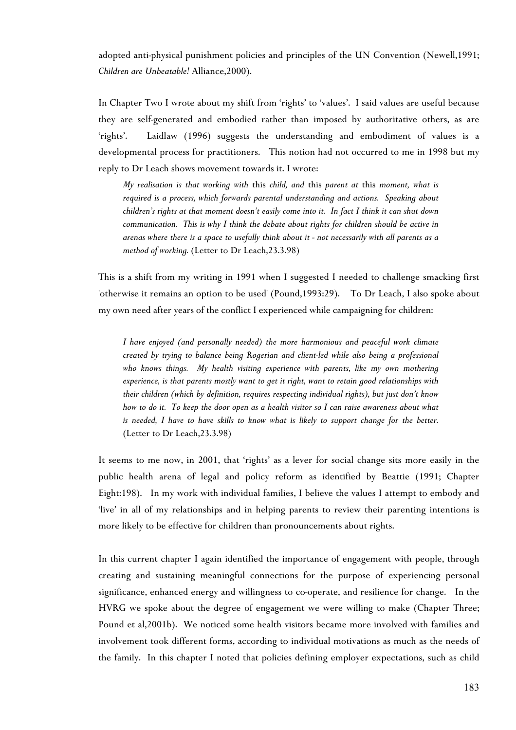adopted anti-physical punishment policies and principles of the UN Convention (Newell,1991; *Children are Unbeatable!* Alliance,2000).

In Chapter Two I wrote about my shift from 'rights' to 'values'. I said values are useful because they are self-generated and embodied rather than imposed by authoritative others, as are 'rights'. Laidlaw (1996) suggests the understanding and embodiment of values is a developmental process for practitioners. This notion had not occurred to me in 1998 but my reply to Dr Leach shows movement towards it. I wrote:

*My realisation is that working with* this *child, and* this *parent at* this *moment, what is required is a process, which forwards parental understanding and actions. Speaking about children's rights at that moment doesn't easily come into it. In fact I think it can shut down communication. This is why I think the debate about rights for children should be active in arenas where there is a space to usefully think about it - not necessarily with all parents as a method of working.* (Letter to Dr Leach,23.3.98)

This is a shift from my writing in 1991 when I suggested I needed to challenge smacking first 'otherwise it remains an option to be used' (Pound,1993:29). To Dr Leach, I also spoke about my own need after years of the conflict I experienced while campaigning for children:

*I have enjoyed (and personally needed) the more harmonious and peaceful work climate created by trying to balance being Rogerian and client-led while also being a professional who knows things. My health visiting experience with parents, like my own mothering experience, is that parents mostly want to get it right, want to retain good relationships with their children (which by definition, requires respecting individual rights), but just don't know how to do it. To keep the door open as a health visitor so I can raise awareness about what is needed, I have to have skills to know what is likely to support change for the better.* (Letter to Dr Leach,23.3.98)

It seems to me now, in 2001, that 'rights' as a lever for social change sits more easily in the public health arena of legal and policy reform as identified by Beattie (1991; Chapter Eight:198). In my work with individual families, I believe the values I attempt to embody and 'live' in all of my relationships and in helping parents to review their parenting intentions is more likely to be effective for children than pronouncements about rights.

In this current chapter I again identified the importance of engagement with people, through creating and sustaining meaningful connections for the purpose of experiencing personal significance, enhanced energy and willingness to co-operate, and resilience for change. In the HVRG we spoke about the degree of engagement we were willing to make (Chapter Three; Pound et al,2001b). We noticed some health visitors became more involved with families and involvement took different forms, according to individual motivations as much as the needs of the family. In this chapter I noted that policies defining employer expectations, such as child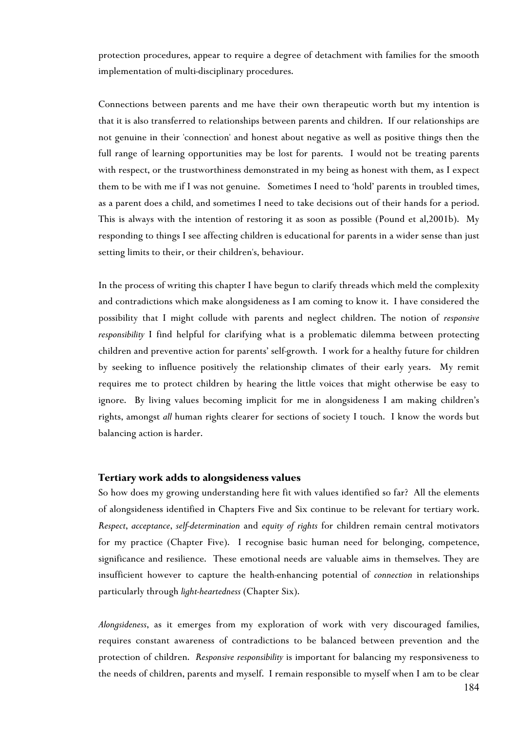protection procedures, appear to require a degree of detachment with families for the smooth implementation of multi-disciplinary procedures.

Connections between parents and me have their own therapeutic worth but my intention is that it is also transferred to relationships between parents and children. If our relationships are not genuine in their 'connection' and honest about negative as well as positive things then the full range of learning opportunities may be lost for parents. I would not be treating parents with respect, or the trustworthiness demonstrated in my being as honest with them, as I expect them to be with me if I was not genuine. Sometimes I need to 'hold' parents in troubled times, as a parent does a child, and sometimes I need to take decisions out of their hands for a period. This is always with the intention of restoring it as soon as possible (Pound et al,2001b). My responding to things I see affecting children is educational for parents in a wider sense than just setting limits to their, or their children's, behaviour.

In the process of writing this chapter I have begun to clarify threads which meld the complexity and contradictions which make alongsideness as I am coming to know it. I have considered the possibility that I might collude with parents and neglect children. The notion of *responsive responsibility* I find helpful for clarifying what is a problematic dilemma between protecting children and preventive action for parents' self-growth. I work for a healthy future for children by seeking to influence positively the relationship climates of their early years. My remit requires me to protect children by hearing the little voices that might otherwise be easy to ignore. By living values becoming implicit for me in alongsideness I am making children's rights, amongst *all* human rights clearer for sections of society I touch. I know the words but balancing action is harder.

#### **Tertiary work adds to alongsideness values**

So how does my growing understanding here fit with values identified so far? All the elements of alongsideness identified in Chapters Five and Six continue to be relevant for tertiary work. *Respect*, *acceptance*, *self-determination* and *equity of rights* for children remain central motivators for my practice (Chapter Five). I recognise basic human need for belonging, competence, significance and resilience. These emotional needs are valuable aims in themselves. They are insufficient however to capture the health-enhancing potential of *connection* in relationships particularly through *light-heartedness* (Chapter Six).

*Alongsideness*, as it emerges from my exploration of work with very discouraged families, requires constant awareness of contradictions to be balanced between prevention and the protection of children. *Responsive responsibility* is important for balancing my responsiveness to the needs of children, parents and myself. I remain responsible to myself when I am to be clear